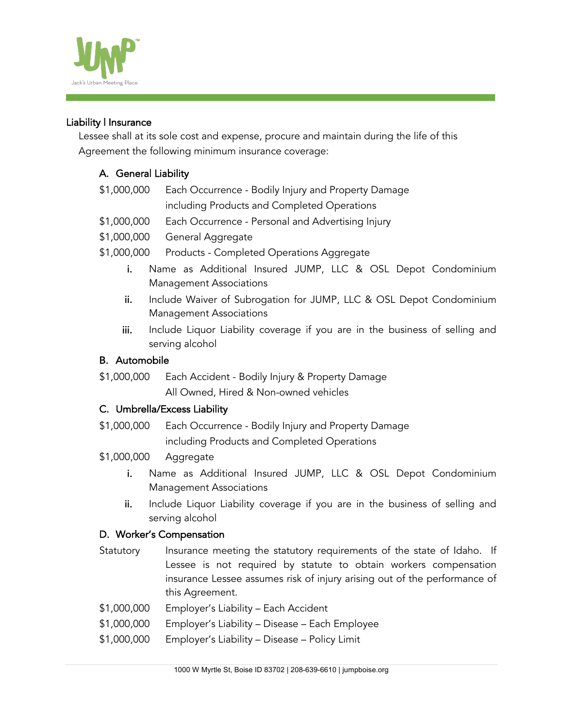

#### Liability | Insurance

Lessee shall at its sole cost and expense, procure and maintain during the life of this Agreement the following minimum insurance coverage:

## A. General Liability

- \$1,000,000 Each Occurrence Bodily Injury and Property Damage including Products and Completed Operations
- \$1,000,000 Each Occurrence Personal and Advertising Injury
- \$1,000,000 General Aggregate
- \$1,000,000 Products Completed Operations Aggregate
	- i. Name as Additional Insured JUMP, LLC & OSL Depot Condominium Management Associations
	- ii. Include Waiver of Subrogation for JUMP, LLC & OSL Depot Condominium Management Associations
	- iii. Include Liquor Liability coverage if you are in the business of selling and serving alcohol

#### B. Automobile

\$1,000,000 Each Accident - Bodily Injury & Property Damage All Owned, Hired & Non-owned vehicles

## C. Umbrella/Excess Liability

\$1,000,000 Each Occurrence - Bodily Injury and Property Damage including Products and Completed Operations

## \$1,000,000 Aggregate

- i. Name as Additional Insured JUMP, LLC & OSL Depot Condominium Management Associations
- ii. Include Liquor Liability coverage if you are in the business of selling and serving alcohol

#### D. Worker's Compensation

- Statutory lnsurance meeting the statutory requirements of the state of Idaho. If Lessee is not required by statute to obtain workers compensation insurance Lessee assumes risk of injury arising out of the performance of this Agreement.
- \$1,000,000 Employer's Liability Each Accident
- \$1,000,000 Employer's Liability Disease Each Employee
- \$1,000,000 Employer's Liability Disease Policy Limit